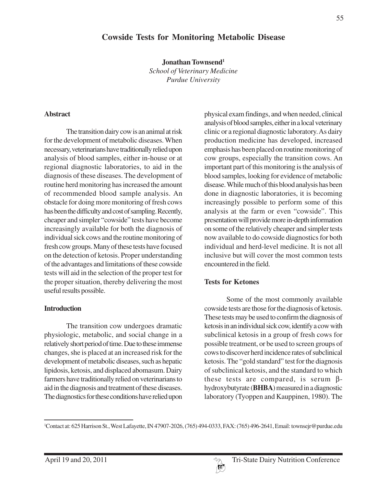# **Cowside Tests for Monitoring Metabolic Disease**

**Jonathan Townsend1**

*School of Veterinary Medicine Purdue University*

#### **Abstract**

The transition dairy cow is an animal at risk for the development of metabolic diseases. When necessary, veterinarians have traditionally relied upon analysis of blood samples, either in-house or at regional diagnostic laboratories, to aid in the diagnosis of these diseases. The development of routine herd monitoring has increased the amount of recommended blood sample analysis. An obstacle for doing more monitoring of fresh cows has been the difficulty and cost of sampling. Recently, cheaper and simpler "cowside" tests have become increasingly available for both the diagnosis of individual sick cows and the routine monitoring of fresh cow groups. Many of these tests have focused on the detection of ketosis. Proper understanding of the advantages and limitations of these cowside tests will aid in the selection of the proper test for the proper situation, thereby delivering the most useful results possible.

#### **Introduction**

The transition cow undergoes dramatic physiologic, metabolic, and social change in a relatively short period of time. Due to these immense changes, she is placed at an increased risk for the development of metabolic diseases, such as hepatic lipidosis, ketosis, and displaced abomasum. Dairy farmers have traditionally relied on veterinarians to aid in the diagnosis and treatment of these diseases. The diagnostics for these conditions have relied upon

physical exam findings, and when needed, clinical analysis of blood samples, either in a local veterinary clinic or a regional diagnostic laboratory. As dairy production medicine has developed, increased emphasis has been placed on routine monitoring of cow groups, especially the transition cows. An important part of this monitoring is the analysis of blood samples, looking for evidence of metabolic disease. While much of this blood analysis has been done in diagnostic laboratories, it is becoming increasingly possible to perform some of this analysis at the farm or even "cowside". This presentation will provide more in-depth information on some of the relatively cheaper and simpler tests now available to do cowside diagnostics for both individual and herd-level medicine. It is not all inclusive but will cover the most common tests encountered in the field.

### **Tests for Ketones**

Some of the most commonly available cowside tests are those for the diagnosis of ketosis. These tests may be used to confirm the diagnosis of ketosis in an individual sick cow, identify a cow with subclinical ketosis in a group of fresh cows for possible treatment, or be used to screen groups of cows to discover herd incidence rates of subclinical ketosis. The "gold standard" test for the diagnosis of subclinical ketosis, and the standard to which these tests are compared, is serum βhydroxybutyrate (**BHBA**) measured in a diagnostic laboratory (Tyoppen and Kauppinen, 1980). The

<sup>1</sup> Contact at: 625 Harrison St., West Lafayette, IN 47907-2026, (765) 494-0333, FAX: (765) 496-2641, Email: townsejr@purdue.edu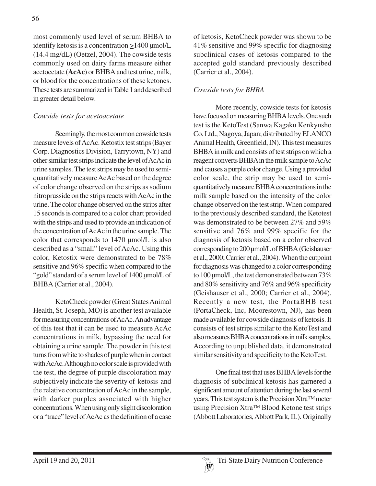most commonly used level of serum BHBA to identify ketosis is a concentration  $\geq$  1400 µmol/L (14.4 mg/dL) (Oetzel, 2004). The cowside tests commonly used on dairy farms measure either acetocetate (**AcAc**) or BHBA and test urine, milk, or blood for the concentrations of these ketones. These tests are summarized in Table 1 and described in greater detail below.

## *Cowside tests for acetoacetate*

Seemingly, the most common cowside tests measure levels of AcAc. Ketostix test strips (Bayer Corp. Diagnostics Division, Tarrytown, NY) and other similar test strips indicate the level of AcAc in urine samples. The test strips may be used to semiquantitatively measure AcAc based on the degree of color change observed on the strips as sodium nitroprusside on the strips reacts with AcAc in the urine. The color change observed on the strips after 15 seconds is compared to a color chart provided with the strips and used to provide an indication of the concentration of AcAc in the urine sample. The color that corresponds to 1470 µmol/L is also described as a "small" level of AcAc. Using this color, Ketostix were demonstrated to be 78% sensitive and 96% specific when compared to the "gold" standard of a serum level of 1400 µmol/L of BHBA (Carrier et al., 2004).

KetoCheck powder (Great States Animal Health, St. Joseph, MO) is another test available for measuring concentrations of AcAc. An advantage of this test that it can be used to measure AcAc concentrations in milk, bypassing the need for obtaining a urine sample. The powder in this test turns from white to shades of purple when in contact with AcAc. Although no color scale is provided with the test, the degree of purple discoloration may subjectively indicate the severity of ketosis and the relative concentration of AcAc in the sample, with darker purples associated with higher concentrations. When using only slight discoloration or a "trace" level of AcAc as the definition of a case

of ketosis, KetoCheck powder was shown to be 41% sensitive and 99% specific for diagnosing subclinical cases of ketosis compared to the accepted gold standard previously described (Carrier et al., 2004).

## *Cowside tests for BHBA*

More recently, cowside tests for ketosis have focused on measuring BHBA levels. One such test is the KetoTest (Sanwa Kagaku Kenkyusho Co. Ltd., Nagoya, Japan; distributed by ELANCO Animal Health, Greenfield, IN). This test measures BHBA in milk and consists of test strips on which a reagent converts BHBA in the milk sample to AcAc and causes a purple color change. Using a provided color scale, the strip may be used to semiquantitatively measure BHBA concentrations in the milk sample based on the intensity of the color change observed on the test strip. When compared to the previously described standard, the Ketotest was demonstrated to be between 27% and 59% sensitive and 76% and 99% specific for the diagnosis of ketosis based on a color observed corresponding to 200 µmol/L of BHBA (Geishauser et al., 2000; Carrier et al., 2004). When the cutpoint for diagnosis was changed to a color corresponding to 100 µmol/L, the test demonstrated between 73% and 80% sensitivity and 76% and 96% specificity (Geishauser et al., 2000; Carrier et al., 2004). Recently a new test, the PortaBHB test (PortaCheck, Inc, Moorestown, NJ), has been made available for cowside diagnosis of ketosis. It consists of test strips similar to the KetoTest and also measures BHBA concentrations in milk samples. According to unpublished data, it demonstrated similar sensitivity and specificity to the KetoTest.

One final test that uses BHBA levels for the diagnosis of subclinical ketosis has garnered a significant amount of attention during the last several years. This test system is the Precision Xtra™ meter using Precision Xtra™ Blood Ketone test strips (Abbott Laboratories, Abbott Park, IL). Originally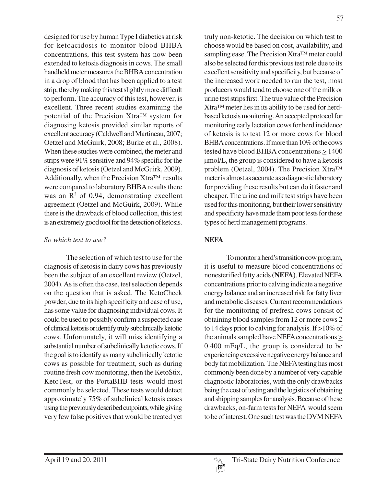designed for use by human Type I diabetics at risk for ketoacidosis to monitor blood BHBA concentrations, this test system has now been extended to ketosis diagnosis in cows. The small handheld meter measures the BHBA concentration in a drop of blood that has been applied to a test strip, thereby making this test slightly more difficult to perform. The accuracy of this test, however, is excellent. Three recent studies examining the potential of the Precision Xtra™ system for diagnosing ketosis provided similar reports of excellent accuracy (Caldwell and Martineau, 2007; Oetzel and McGuirk, 2008; Burke et al., 2008). When these studies were combined, the meter and strips were 91% sensitive and 94% specific for the diagnosis of ketosis (Oetzel and McGuirk, 2009). Additionally, when the Precision Xtra™ results were compared to laboratory BHBA results there was an  $\mathbb{R}^2$  of 0.94, demonstrating excellent agreement (Oetzel and McGuirk, 2009). While there is the drawback of blood collection, this test is an extremely good tool for the detection of ketosis.

#### *So which test to use?*

The selection of which test to use for the diagnosis of ketosis in dairy cows has previously been the subject of an excellent review (Oetzel, 2004). As is often the case, test selection depends on the question that is asked. The KetoCheck powder, due to its high specificity and ease of use, has some value for diagnosing individual cows. It could be used to possibly confirm a suspected case of clinical ketosis or identify truly subclinically ketotic cows. Unfortunately, it will miss identifying a substantial number of subclinically ketotic cows. If the goal is to identify as many subclinically ketotic cows as possible for treatment, such as during routine fresh cow monitoring, then the KetoStix, KetoTest, or the PortaBHB tests would most commonly be selected. These tests would detect approximately 75% of subclinical ketosis cases using the previously described cutpoints, while giving very few false positives that would be treated yet

truly non-ketotic. The decision on which test to choose would be based on cost, availability, and sampling ease. The Precision Xtra™ meter could also be selected for this previous test role due to its excellent sensitivity and specificity, but because of the increased work needed to run the test, most producers would tend to choose one of the milk or urine test strips first. The true value of the Precision Xtra™ meter lies in its ability to be used for herdbased ketosis monitoring. An accepted protocol for monitoring early lactation cows for herd incidence of ketosis is to test 12 or more cows for blood BHBA concentrations. If more than 10% of the cows tested have blood BHBA concentrations > 1400 µmol/L, the group is considered to have a ketosis problem (Oetzel, 2004). The Precision Xtra™ meter is almost as accurate as a diagnostic laboratory for providing these results but can do it faster and cheaper. The urine and milk test strips have been used for this monitoring, but their lower sensitivity and specificity have made them poor tests for these types of herd management programs.

# **NEFA**

To monitor a herd's transition cow program, it is useful to measure blood concentrations of nonesterified fatty acids **(NEFA)**. Elevated NEFA concentrations prior to calving indicate a negative energy balance and an increased risk for fatty liver and metabolic diseases. Current recommendations for the monitoring of prefresh cows consist of obtaining blood samples from 12 or more cows 2 to 14 days prior to calving for analysis. If >10% of the animals sampled have NEFA concentrations  $\geq$ 0.400 mEq/L, the group is considered to be experiencing excessive negative energy balance and body fat mobilization. The NEFA testing has most commonly been done by a number of very capable diagnostic laboratories, with the only drawbacks being the cost of testing and the logistics of obtaining and shipping samples for analysis. Because of these drawbacks, on-farm tests for NEFA would seem to be of interest. One such test was the DVM NEFA

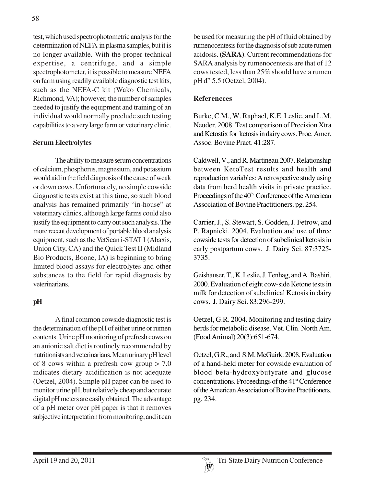test, which used spectrophotometric analysis for the determination of NEFA in plasma samples, but it is no longer available. With the proper technical expertise, a centrifuge, and a simple spectrophotometer, it is possible to measure NEFA on farm using readily available diagnostic test kits, such as the NEFA-C kit (Wako Chemicals, Richmond, VA); however, the number of samples needed to justify the equipment and training of an individual would normally preclude such testing capabilities to a very large farm or veterinary clinic.

### **Serum Electrolytes**

The ability to measure serum concentrations of calcium, phosphorus, magnesium, and potassium would aid in the field diagnosis of the cause of weak or down cows. Unfortunately, no simple cowside diagnostic tests exist at this time, so such blood analysis has remained primarily "in-house" at veterinary clinics, although large farms could also justify the equipment to carry out such analysis. The more recent development of portable blood analysis equipment, such as the VetScan i-STAT 1 (Abaxis, Union City, CA) and the Quick Test II (Midland Bio Products, Boone, IA) is beginning to bring limited blood assays for electrolytes and other substances to the field for rapid diagnosis by veterinarians.

### **pH**

A final common cowside diagnostic test is the determination of the pH of either urine or rumen contents. Urine pH monitoring of prefresh cows on an anionic salt diet is routinely recommended by nutritionists and veterinarians. Mean urinary pH level of 8 cows within a prefresh cow group > 7.0 indicates dietary acidification is not adequate (Oetzel, 2004). Simple pH paper can be used to monitor urine pH, but relatively cheap and accurate digital pH meters are easily obtained. The advantage of a pH meter over pH paper is that it removes subjective interpretation from monitoring, and it can be used for measuring the pH of fluid obtained by rumenocentesis for the diagnosis of sub acute rumen acidosis. **(SARA)**. Current recommendations for SARA analysis by rumenocentesis are that of 12 cows tested, less than 25% should have a rumen pH d" 5.5 (Oetzel, 2004).

### **Referencces**

Burke, C.M., W. Raphael, K.E. Leslie, and L.M. Neuder. 2008. Test comparison of Precision Xtra and Ketostix for ketosis in dairy cows. Proc. Amer. Assoc. Bovine Pract. 41:287.

Caldwell, V., and R. Martineau.2007. Relationship between KetoTest results and health and reproduction variables: A retrospective study using data from herd health visits in private practice. Proceedings of the 40<sup>th</sup> Conference of the American Association of Bovine Practitioners. pg. 254.

Carrier, J., S. Stewart, S. Godden, J. Fetrow, and P. Rapnicki. 2004. Evaluation and use of three cowside tests for detection of subclinical ketosis in early postpartum cows. J. Dairy Sci. 87:3725- 3735.

Geishauser, T., K. Leslie, J. Tenhag, and A. Bashiri. 2000. Evaluation of eight cow-side Ketone tests in milk for detection of subclinical Ketosis in dairy cows. J. Dairy Sci. 83:296-299.

Oetzel, G.R. 2004. Monitoring and testing dairy herds for metabolic disease. Vet. Clin. North Am. (Food Animal) 20(3):651-674.

Oetzel, G.R., and S.M. McGuirk. 2008. Evaluation of a hand-held meter for cowside evaluation of blood beta-hydroxybutyrate and glucose concentrations. Proceedings of the 41st Conference of the American Association of Bovine Practitioners. pg. 234.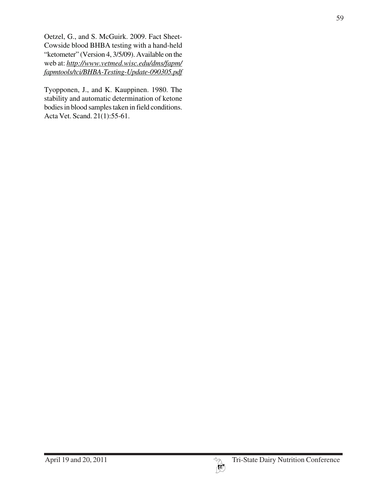Oetzel, G., and S. McGuirk. 2009. Fact Sheet-Cowside blood BHBA testing with a hand-held "ketometer" (Version 4, 3/5/09). Available on the web at: *http://www.vetmed.wisc.edu/dms/fapm/ fapmtools/tci/BHBA-Testing-Update-090305.pdf*

Tyopponen, J., and K. Kauppinen. 1980. The stability and automatic determination of ketone bodies in blood samples taken in field conditions. Acta Vet. Scand. 21(1):55-61.